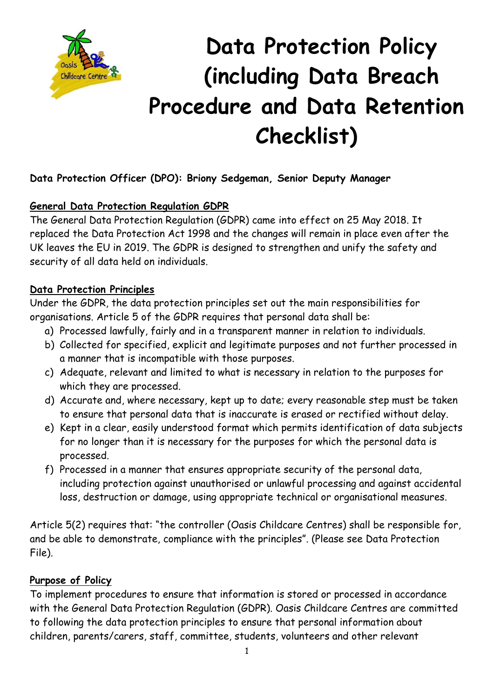

# **Data Protection Policy (including Data Breach Procedure and Data Retention Checklist)**

# **Data Protection Officer (DPO): Briony Sedgeman, Senior Deputy Manager**

# **General Data Protection Regulation GDPR**

The General Data Protection Regulation (GDPR) came into effect on 25 May 2018. It replaced the Data Protection Act 1998 and the changes will remain in place even after the UK leaves the EU in 2019. The GDPR is designed to strengthen and unify the safety and security of all data held on individuals.

# **Data Protection Principles**

Under the GDPR, the data protection principles set out the main responsibilities for organisations. Article 5 of the GDPR requires that personal data shall be:

- a) Processed lawfully, fairly and in a transparent manner in relation to individuals.
- b) Collected for specified, explicit and legitimate purposes and not further processed in a manner that is incompatible with those purposes.
- c) Adequate, relevant and limited to what is necessary in relation to the purposes for which they are processed.
- d) Accurate and, where necessary, kept up to date; every reasonable step must be taken to ensure that personal data that is inaccurate is erased or rectified without delay.
- e) Kept in a clear, easily understood format which permits identification of data subjects for no longer than it is necessary for the purposes for which the personal data is processed.
- f) Processed in a manner that ensures appropriate security of the personal data, including protection against unauthorised or unlawful processing and against accidental loss, destruction or damage, using appropriate technical or organisational measures.

Article 5(2) requires that: "the controller (Oasis Childcare Centres) shall be responsible for, and be able to demonstrate, compliance with the principles". (Please see Data Protection File).

# **Purpose of Policy**

To implement procedures to ensure that information is stored or processed in accordance with the General Data Protection Regulation (GDPR). Oasis Childcare Centres are committed to following the data protection principles to ensure that personal information about children, parents/carers, staff, committee, students, volunteers and other relevant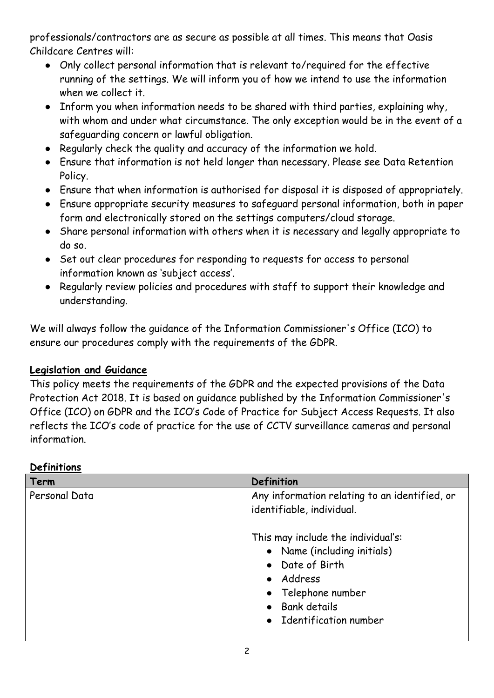professionals/contractors are as secure as possible at all times. This means that Oasis Childcare Centres will:

- Only collect personal information that is relevant to/required for the effective running of the settings. We will inform you of how we intend to use the information when we collect it.
- Inform you when information needs to be shared with third parties, explaining why, with whom and under what circumstance. The only exception would be in the event of a safeguarding concern or lawful obligation.
- Regularly check the quality and accuracy of the information we hold.
- Ensure that information is not held longer than necessary. Please see Data Retention Policy.
- Ensure that when information is authorised for disposal it is disposed of appropriately.
- Ensure appropriate security measures to safeguard personal information, both in paper form and electronically stored on the settings computers/cloud storage.
- Share personal information with others when it is necessary and legally appropriate to do so.
- Set out clear procedures for responding to requests for access to personal information known as 'subject access'.
- Regularly review policies and procedures with staff to support their knowledge and understanding.

We will always follow the guidance of the Information Commissioner's Office (ICO) to ensure our procedures comply with the requirements of the GDPR.

#### **Legislation and Guidance**

This policy meets the requirements of the GDPR and the expected provisions of the Data Protection Act 2018. It is based on guidance published by the Information Commissioner's Office (ICO) on GDPR and the ICO's Code of Practice for Subject Access Requests. It also reflects the ICO's code of practice for the use of CCTV surveillance cameras and personal information.

| Term          | Definition                                                                                                                                                              |  |
|---------------|-------------------------------------------------------------------------------------------------------------------------------------------------------------------------|--|
| Personal Data | Any information relating to an identified, or<br>identifiable, individual.                                                                                              |  |
|               | This may include the individual's:<br>• Name (including initials)<br>• Date of Birth<br>• Address<br>Telephone number<br><b>Bank details</b><br>• Identification number |  |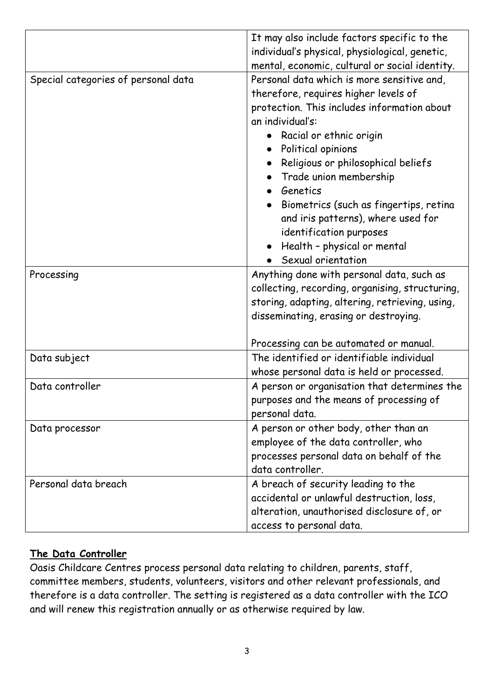|                                     | It may also include factors specific to the     |  |  |
|-------------------------------------|-------------------------------------------------|--|--|
|                                     | individual's physical, physiological, genetic,  |  |  |
|                                     | mental, economic, cultural or social identity.  |  |  |
| Special categories of personal data | Personal data which is more sensitive and,      |  |  |
|                                     | therefore, requires higher levels of            |  |  |
|                                     | protection. This includes information about     |  |  |
|                                     | an individual's:                                |  |  |
|                                     | Racial or ethnic origin                         |  |  |
|                                     | Political opinions                              |  |  |
|                                     | Religious or philosophical beliefs              |  |  |
|                                     | Trade union membership                          |  |  |
|                                     | • Genetics                                      |  |  |
|                                     | Biometrics (such as fingertips, retina          |  |  |
|                                     | and iris patterns), where used for              |  |  |
|                                     | identification purposes                         |  |  |
|                                     | Health - physical or mental                     |  |  |
|                                     | Sexual orientation                              |  |  |
| Processing                          | Anything done with personal data, such as       |  |  |
|                                     | collecting, recording, organising, structuring, |  |  |
|                                     | storing, adapting, altering, retrieving, using, |  |  |
|                                     | disseminating, erasing or destroying.           |  |  |
|                                     |                                                 |  |  |
|                                     | Processing can be automated or manual.          |  |  |
| Data subject                        | The identified or identifiable individual       |  |  |
|                                     | whose personal data is held or processed.       |  |  |
| Data controller                     | A person or organisation that determines the    |  |  |
|                                     | purposes and the means of processing of         |  |  |
|                                     | personal data.                                  |  |  |
| Data processor                      | A person or other body, other than an           |  |  |
|                                     | employee of the data controller, who            |  |  |
|                                     | processes personal data on behalf of the        |  |  |
|                                     | data controller.                                |  |  |
| Personal data breach                | A breach of security leading to the             |  |  |
|                                     | accidental or unlawful destruction, loss,       |  |  |
|                                     | alteration, unauthorised disclosure of, or      |  |  |
|                                     | access to personal data.                        |  |  |

# **The Data Controller**

Oasis Childcare Centres process personal data relating to children, parents, staff, committee members, students, volunteers, visitors and other relevant professionals, and therefore is a data controller. The setting is registered as a data controller with the ICO and will renew this registration annually or as otherwise required by law.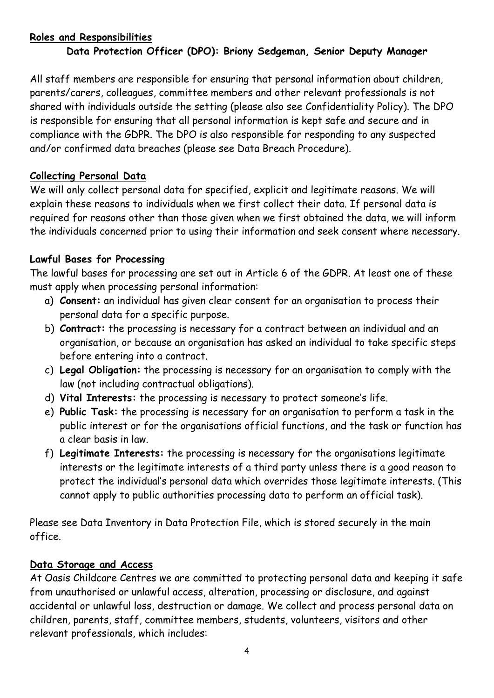#### **Roles and Responsibilities**

# **Data Protection Officer (DPO): Briony Sedgeman, Senior Deputy Manager**

All staff members are responsible for ensuring that personal information about children, parents/carers, colleagues, committee members and other relevant professionals is not shared with individuals outside the setting (please also see Confidentiality Policy). The DPO is responsible for ensuring that all personal information is kept safe and secure and in compliance with the GDPR. The DPO is also responsible for responding to any suspected and/or confirmed data breaches (please see Data Breach Procedure).

#### **Collecting Personal Data**

We will only collect personal data for specified, explicit and legitimate reasons. We will explain these reasons to individuals when we first collect their data. If personal data is required for reasons other than those given when we first obtained the data, we will inform the individuals concerned prior to using their information and seek consent where necessary.

# **Lawful Bases for Processing**

The lawful bases for processing are set out in Article 6 of the GDPR. At least one of these must apply when processing personal information:

- a) **Consent:** an individual has given clear consent for an organisation to process their personal data for a specific purpose.
- b) **Contract:** the processing is necessary for a contract between an individual and an organisation, or because an organisation has asked an individual to take specific steps before entering into a contract.
- c) **Legal Obligation:** the processing is necessary for an organisation to comply with the law (not including contractual obligations).
- d) **Vital Interests:** the processing is necessary to protect someone's life.
- e) **Public Task:** the processing is necessary for an organisation to perform a task in the public interest or for the organisations official functions, and the task or function has a clear basis in law.
- f) **Legitimate Interests:** the processing is necessary for the organisations legitimate interests or the legitimate interests of a third party unless there is a good reason to protect the individual's personal data which overrides those legitimate interests. (This cannot apply to public authorities processing data to perform an official task).

Please see Data Inventory in Data Protection File, which is stored securely in the main office.

#### **Data Storage and Access**

At Oasis Childcare Centres we are committed to protecting personal data and keeping it safe from unauthorised or unlawful access, alteration, processing or disclosure, and against accidental or unlawful loss, destruction or damage. We collect and process personal data on children, parents, staff, committee members, students, volunteers, visitors and other relevant professionals, which includes: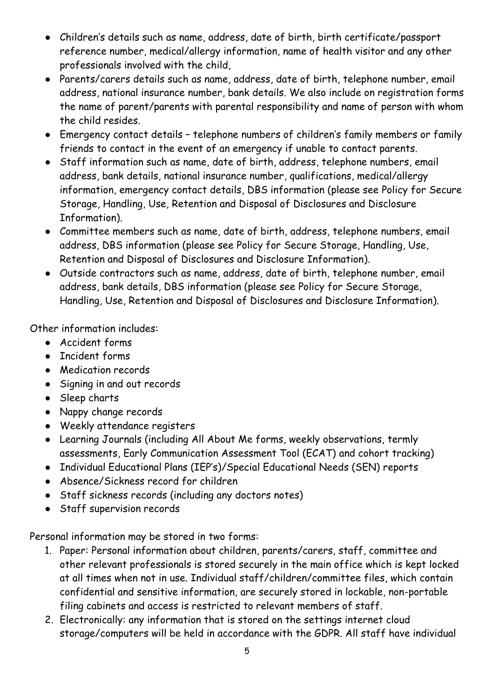- Children's details such as name, address, date of birth, birth certificate/passport reference number, medical/allergy information, name of health visitor and any other professionals involved with the child,
- Parents/carers details such as name, address, date of birth, telephone number, email address, national insurance number, bank details. We also include on registration forms the name of parent/parents with parental responsibility and name of person with whom the child resides.
- Emergency contact details telephone numbers of children's family members or family friends to contact in the event of an emergency if unable to contact parents.
- Staff information such as name, date of birth, address, telephone numbers, email address, bank details, national insurance number, qualifications, medical/allergy information, emergency contact details, DBS information (please see Policy for Secure Storage, Handling, Use, Retention and Disposal of Disclosures and Disclosure Information).
- Committee members such as name, date of birth, address, telephone numbers, email address, DBS information (please see Policy for Secure Storage, Handling, Use, Retention and Disposal of Disclosures and Disclosure Information).
- Outside contractors such as name, address, date of birth, telephone number, email address, bank details, DBS information (please see Policy for Secure Storage, Handling, Use, Retention and Disposal of Disclosures and Disclosure Information).

Other information includes:

- Accident forms
- Incident forms
- Medication records
- Signing in and out records
- Sleep charts
- Nappy change records
- Weekly attendance registers
- Learning Journals (including All About Me forms, weekly observations, termly assessments, Early Communication Assessment Tool (ECAT) and cohort tracking)
- Individual Educational Plans (IEP's)/Special Educational Needs (SEN) reports
- Absence/Sickness record for children
- Staff sickness records (including any doctors notes)
- Staff supervision records

Personal information may be stored in two forms:

- 1. Paper: Personal information about children, parents/carers, staff, committee and other relevant professionals is stored securely in the main office which is kept locked at all times when not in use. Individual staff/children/committee files, which contain confidential and sensitive information, are securely stored in lockable, non-portable filing cabinets and access is restricted to relevant members of staff.
- 2. Electronically: any information that is stored on the settings internet cloud storage/computers will be held in accordance with the GDPR. All staff have individual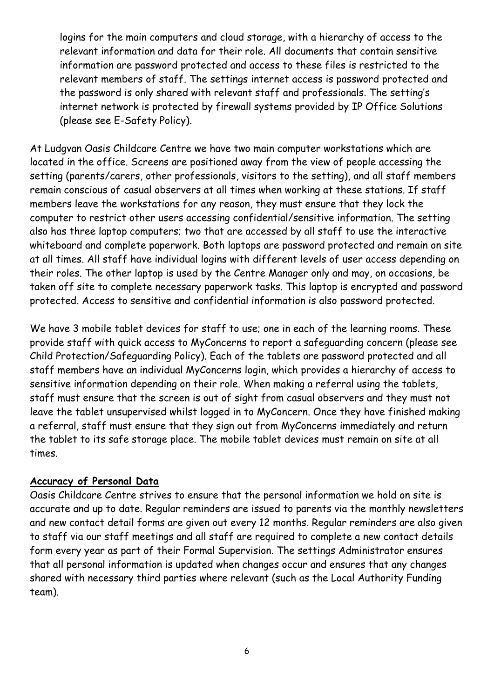logins for the main computers and cloud storage, with a hierarchy of access to the relevant information and data for their role. All documents that contain sensitive information are password protected and access to these files is restricted to the relevant members of staff. The settings internet access is password protected and the password is only shared with relevant staff and professionals. The setting's internet network is protected by firewall systems provided by IP Office Solutions (please see E-Safety Policy).

At Ludgvan Oasis Childcare Centre we have two main computer workstations which are located in the office. Screens are positioned away from the view of people accessing the setting (parents/carers, other professionals, visitors to the setting), and all staff members remain conscious of casual observers at all times when working at these stations. If staff members leave the workstations for any reason, they must ensure that they lock the computer to restrict other users accessing confidential/sensitive information. The setting also has three laptop computers; two that are accessed by all staff to use the interactive whiteboard and complete paperwork. Both laptops are password protected and remain on site at all times. All staff have individual logins with different levels of user access depending on their roles. The other laptop is used by the Centre Manager only and may, on occasions, be taken off site to complete necessary paperwork tasks. This laptop is encrypted and password protected. Access to sensitive and confidential information is also password protected.

We have 3 mobile tablet devices for staff to use; one in each of the learning rooms. These provide staff with quick access to MyConcerns to report a safeguarding concern (please see Child Protection/Safeguarding Policy). Each of the tablets are password protected and all staff members have an individual MyConcerns login, which provides a hierarchy of access to sensitive information depending on their role. When making a referral using the tablets, staff must ensure that the screen is out of sight from casual observers and they must not leave the tablet unsupervised whilst logged in to MyConcern. Once they have finished making a referral, staff must ensure that they sign out from MyConcerns immediately and return the tablet to its safe storage place. The mobile tablet devices must remain on site at all times.

#### **Accuracy of Personal Data**

Oasis Childcare Centre strives to ensure that the personal information we hold on site is accurate and up to date. Regular reminders are issued to parents via the monthly newsletters and new contact detail forms are given out every 12 months. Regular reminders are also given to staff via our staff meetings and all staff are required to complete a new contact details form every year as part of their Formal Supervision. The settings Administrator ensures that all personal information is updated when changes occur and ensures that any changes shared with necessary third parties where relevant (such as the Local Authority Funding team).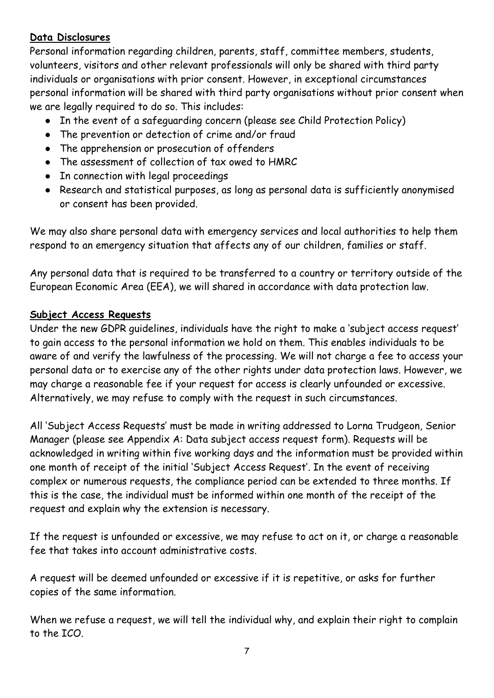#### **Data Disclosures**

Personal information regarding children, parents, staff, committee members, students, volunteers, visitors and other relevant professionals will only be shared with third party individuals or organisations with prior consent. However, in exceptional circumstances personal information will be shared with third party organisations without prior consent when we are legally required to do so. This includes:

- In the event of a safeguarding concern (please see Child Protection Policy)
- The prevention or detection of crime and/or fraud
- The apprehension or prosecution of offenders
- The assessment of collection of tax owed to HMRC
- In connection with legal proceedings
- Research and statistical purposes, as long as personal data is sufficiently anonymised or consent has been provided.

We may also share personal data with emergency services and local authorities to help them respond to an emergency situation that affects any of our children, families or staff.

Any personal data that is required to be transferred to a country or territory outside of the European Economic Area (EEA), we will shared in accordance with data protection law.

# **Subject Access Requests**

Under the new GDPR guidelines, individuals have the right to make a 'subject access request' to gain access to the personal information we hold on them. This enables individuals to be aware of and verify the lawfulness of the processing. We will not charge a fee to access your personal data or to exercise any of the other rights under data protection laws. However, we may charge a reasonable fee if your request for access is clearly unfounded or excessive. Alternatively, we may refuse to comply with the request in such circumstances.

All 'Subject Access Requests' must be made in writing addressed to Lorna Trudgeon, Senior Manager (please see Appendix A: Data subject access request form). Requests will be acknowledged in writing within five working days and the information must be provided within one month of receipt of the initial 'Subject Access Request'. In the event of receiving complex or numerous requests, the compliance period can be extended to three months. If this is the case, the individual must be informed within one month of the receipt of the request and explain why the extension is necessary.

If the request is unfounded or excessive, we may refuse to act on it, or charge a reasonable fee that takes into account administrative costs.

A request will be deemed unfounded or excessive if it is repetitive, or asks for further copies of the same information.

When we refuse a request, we will tell the individual why, and explain their right to complain to the ICO.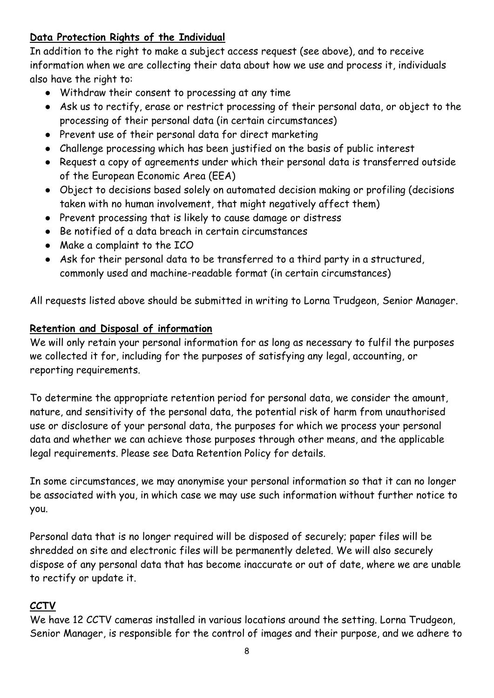# **Data Protection Rights of the Individual**

In addition to the right to make a subject access request (see above), and to receive information when we are collecting their data about how we use and process it, individuals also have the right to:

- Withdraw their consent to processing at any time
- Ask us to rectify, erase or restrict processing of their personal data, or object to the processing of their personal data (in certain circumstances)
- Prevent use of their personal data for direct marketing
- Challenge processing which has been justified on the basis of public interest
- Request a copy of agreements under which their personal data is transferred outside of the European Economic Area (EEA)
- Object to decisions based solely on automated decision making or profiling (decisions taken with no human involvement, that might negatively affect them)
- Prevent processing that is likely to cause damage or distress
- Be notified of a data breach in certain circumstances
- Make a complaint to the ICO
- Ask for their personal data to be transferred to a third party in a structured, commonly used and machine-readable format (in certain circumstances)

All requests listed above should be submitted in writing to Lorna Trudgeon, Senior Manager.

# **Retention and Disposal of information**

We will only retain your personal information for as long as necessary to fulfil the purposes we collected it for, including for the purposes of satisfying any legal, accounting, or reporting requirements.

To determine the appropriate retention period for personal data, we consider the amount, nature, and sensitivity of the personal data, the potential risk of harm from unauthorised use or disclosure of your personal data, the purposes for which we process your personal data and whether we can achieve those purposes through other means, and the applicable legal requirements. Please see Data Retention Policy for details.

In some circumstances, we may anonymise your personal information so that it can no longer be associated with you, in which case we may use such information without further notice to you.

Personal data that is no longer required will be disposed of securely; paper files will be shredded on site and electronic files will be permanently deleted. We will also securely dispose of any personal data that has become inaccurate or out of date, where we are unable to rectify or update it.

# **CCTV**

We have 12 CCTV cameras installed in various locations around the setting. Lorna Trudgeon, Senior Manager, is responsible for the control of images and their purpose, and we adhere to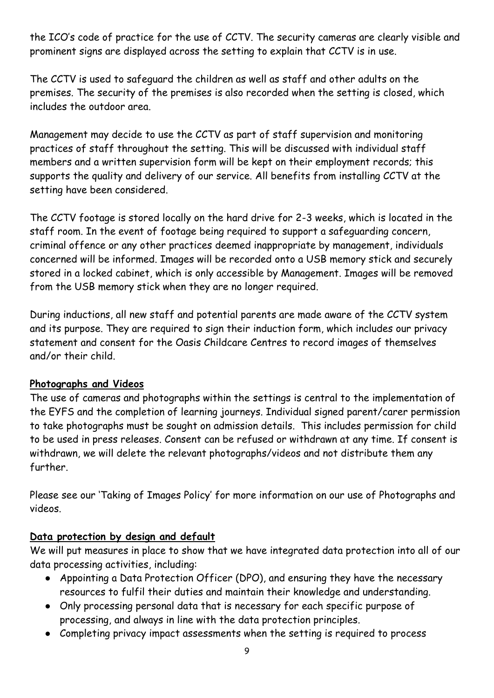the ICO's code of practice for the use of CCTV. The security cameras are clearly visible and prominent signs are displayed across the setting to explain that CCTV is in use.

The CCTV is used to safeguard the children as well as staff and other adults on the premises. The security of the premises is also recorded when the setting is closed, which includes the outdoor area.

Management may decide to use the CCTV as part of staff supervision and monitoring practices of staff throughout the setting. This will be discussed with individual staff members and a written supervision form will be kept on their employment records; this supports the quality and delivery of our service. All benefits from installing CCTV at the setting have been considered.

The CCTV footage is stored locally on the hard drive for 2-3 weeks, which is located in the staff room. In the event of footage being required to support a safeguarding concern, criminal offence or any other practices deemed inappropriate by management, individuals concerned will be informed. Images will be recorded onto a USB memory stick and securely stored in a locked cabinet, which is only accessible by Management. Images will be removed from the USB memory stick when they are no longer required.

During inductions, all new staff and potential parents are made aware of the CCTV system and its purpose. They are required to sign their induction form, which includes our privacy statement and consent for the Oasis Childcare Centres to record images of themselves and/or their child.

# **Photographs and Videos**

The use of cameras and photographs within the settings is central to the implementation of the EYFS and the completion of learning journeys. Individual signed parent/carer permission to take photographs must be sought on admission details. This includes permission for child to be used in press releases. Consent can be refused or withdrawn at any time. If consent is withdrawn, we will delete the relevant photographs/videos and not distribute them any further.

Please see our 'Taking of Images Policy' for more information on our use of Photographs and videos.

# **Data protection by design and default**

We will put measures in place to show that we have integrated data protection into all of our data processing activities, including:

- Appointing a Data Protection Officer (DPO), and ensuring they have the necessary resources to fulfil their duties and maintain their knowledge and understanding.
- Only processing personal data that is necessary for each specific purpose of processing, and always in line with the data protection principles.
- Completing privacy impact assessments when the setting is required to process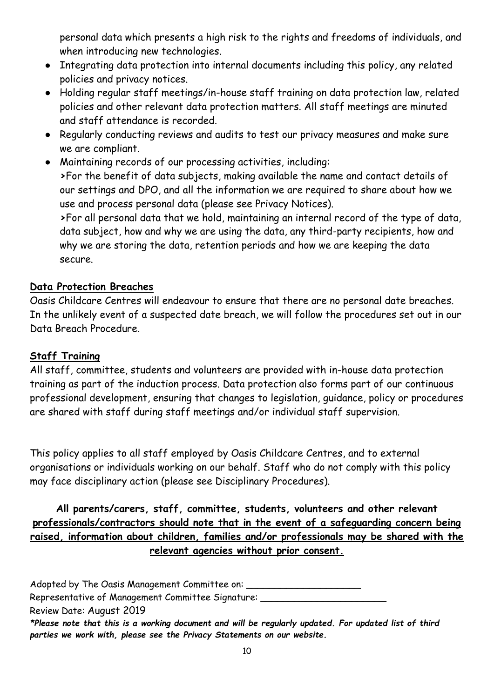personal data which presents a high risk to the rights and freedoms of individuals, and when introducing new technologies.

- Integrating data protection into internal documents including this policy, any related policies and privacy notices.
- Holding regular staff meetings/in-house staff training on data protection law, related policies and other relevant data protection matters. All staff meetings are minuted and staff attendance is recorded.
- Regularly conducting reviews and audits to test our privacy measures and make sure we are compliant.
- Maintaining records of our processing activities, including: **>**For the benefit of data subjects, making available the name and contact details of our settings and DPO, and all the information we are required to share about how we use and process personal data (please see Privacy Notices). **>**For all personal data that we hold, maintaining an internal record of the type of data,

data subject, how and why we are using the data, any third-party recipients, how and why we are storing the data, retention periods and how we are keeping the data secure.

#### **Data Protection Breaches**

Oasis Childcare Centres will endeavour to ensure that there are no personal date breaches. In the unlikely event of a suspected date breach, we will follow the procedures set out in our Data Breach Procedure.

#### **Staff Training**

All staff, committee, students and volunteers are provided with in-house data protection training as part of the induction process. Data protection also forms part of our continuous professional development, ensuring that changes to legislation, guidance, policy or procedures are shared with staff during staff meetings and/or individual staff supervision.

This policy applies to all staff employed by Oasis Childcare Centres, and to external organisations or individuals working on our behalf. Staff who do not comply with this policy may face disciplinary action (please see Disciplinary Procedures).

**All parents/carers, staff, committee, students, volunteers and other relevant professionals/contractors should note that in the event of a safeguarding concern being raised, information about children, families and/or professionals may be shared with the relevant agencies without prior consent.**

Adopted by The Oasis Management Committee on: Representative of Management Committee Signature: Review Date: August 2019 *\*Please note that this is a working document and will be regularly updated. For updated list of third parties we work with, please see the Privacy Statements on our website.*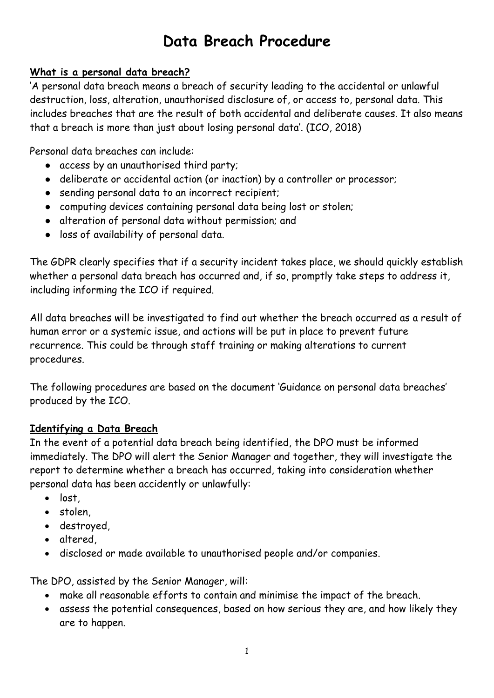# **Data Breach Procedure**

#### **What is a personal data breach?**

'A personal data breach means a breach of security leading to the accidental or unlawful destruction, loss, alteration, unauthorised disclosure of, or access to, personal data. This includes breaches that are the result of both accidental and deliberate causes. It also means that a breach is more than just about losing personal data'. (ICO, 2018)

Personal data breaches can include:

- access by an unauthorised third party;
- deliberate or accidental action (or inaction) by a controller or processor;
- sending personal data to an incorrect recipient;
- computing devices containing personal data being lost or stolen;
- alteration of personal data without permission; and
- loss of availability of personal data.

The GDPR clearly specifies that if a security incident takes place, we should quickly establish whether a personal data breach has occurred and, if so, promptly take steps to address it, including informing the ICO if required.

All data breaches will be investigated to find out whether the breach occurred as a result of human error or a systemic issue, and actions will be put in place to prevent future recurrence. This could be through staff training or making alterations to current procedures.

The following procedures are based on the document 'Guidance on personal data breaches' produced by the ICO.

# **Identifying a Data Breach**

In the event of a potential data breach being identified, the DPO must be informed immediately. The DPO will alert the Senior Manager and together, they will investigate the report to determine whether a breach has occurred, taking into consideration whether personal data has been accidently or unlawfully:

- lost
- stolen,
- destroyed,
- altered,
- disclosed or made available to unauthorised people and/or companies.

The DPO, assisted by the Senior Manager, will:

- make all reasonable efforts to contain and minimise the impact of the breach.
- assess the potential consequences, based on how serious they are, and how likely they are to happen.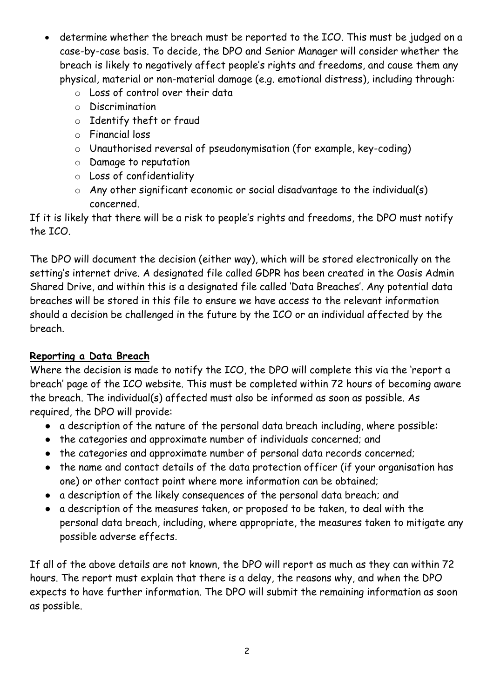- determine whether the breach must be reported to the ICO. This must be judged on a case-by-case basis. To decide, the DPO and Senior Manager will consider whether the breach is likely to negatively affect people's rights and freedoms, and cause them any physical, material or non-material damage (e.g. emotional distress), including through:
	- o Loss of control over their data
	- o Discrimination
	- o Identify theft or fraud
	- o Financial loss
	- o Unauthorised reversal of pseudonymisation (for example, key-coding)
	- o Damage to reputation
	- o Loss of confidentiality
	- $\circ$  Any other significant economic or social disadvantage to the individual(s) concerned.

If it is likely that there will be a risk to people's rights and freedoms, the DPO must notify the ICO.

The DPO will document the decision (either way), which will be stored electronically on the setting's internet drive. A designated file called GDPR has been created in the Oasis Admin Shared Drive, and within this is a designated file called 'Data Breaches'. Any potential data breaches will be stored in this file to ensure we have access to the relevant information should a decision be challenged in the future by the ICO or an individual affected by the breach.

# **Reporting a Data Breach**

Where the decision is made to notify the ICO, the DPO will complete this via the 'report a breach' page of the ICO website. This must be completed within 72 hours of becoming aware the breach. The individual(s) affected must also be informed as soon as possible. As required, the DPO will provide:

- a description of the nature of the personal data breach including, where possible:
- the categories and approximate number of individuals concerned; and
- the categories and approximate number of personal data records concerned;
- the name and contact details of the data protection officer (if your organisation has one) or other contact point where more information can be obtained;
- a description of the likely consequences of the personal data breach; and
- a description of the measures taken, or proposed to be taken, to deal with the personal data breach, including, where appropriate, the measures taken to mitigate any possible adverse effects.

If all of the above details are not known, the DPO will report as much as they can within 72 hours. The report must explain that there is a delay, the reasons why, and when the DPO expects to have further information. The DPO will submit the remaining information as soon as possible.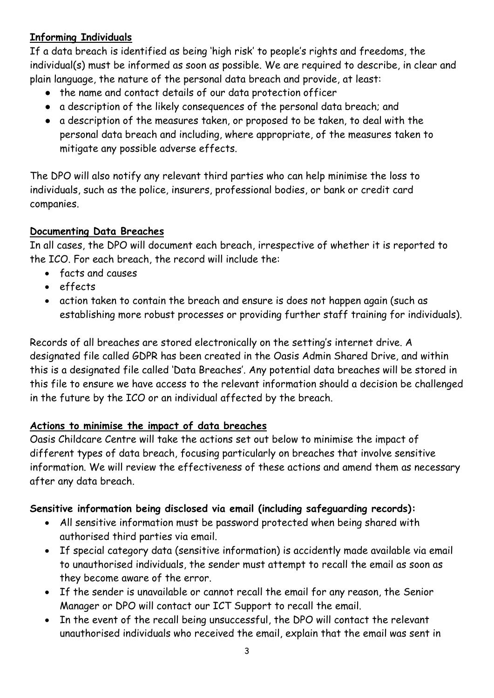#### **Informing Individuals**

If a data breach is identified as being 'high risk' to people's rights and freedoms, the individual(s) must be informed as soon as possible. We are required to describe, in clear and plain language, the nature of the personal data breach and provide, at least:

- the name and contact details of our data protection officer
- a description of the likely consequences of the personal data breach; and
- a description of the measures taken, or proposed to be taken, to deal with the personal data breach and including, where appropriate, of the measures taken to mitigate any possible adverse effects.

The DPO will also notify any relevant third parties who can help minimise the loss to individuals, such as the police, insurers, professional bodies, or bank or credit card companies.

# **Documenting Data Breaches**

In all cases, the DPO will document each breach, irrespective of whether it is reported to the ICO. For each breach, the record will include the:

- facts and causes
- effects
- action taken to contain the breach and ensure is does not happen again (such as establishing more robust processes or providing further staff training for individuals).

Records of all breaches are stored electronically on the setting's internet drive. A designated file called GDPR has been created in the Oasis Admin Shared Drive, and within this is a designated file called 'Data Breaches'. Any potential data breaches will be stored in this file to ensure we have access to the relevant information should a decision be challenged in the future by the ICO or an individual affected by the breach.

# **Actions to minimise the impact of data breaches**

Oasis Childcare Centre will take the actions set out below to minimise the impact of different types of data breach, focusing particularly on breaches that involve sensitive information. We will review the effectiveness of these actions and amend them as necessary after any data breach.

# **Sensitive information being disclosed via email (including safeguarding records):**

- All sensitive information must be password protected when being shared with authorised third parties via email.
- If special category data (sensitive information) is accidently made available via email to unauthorised individuals, the sender must attempt to recall the email as soon as they become aware of the error.
- If the sender is unavailable or cannot recall the email for any reason, the Senior Manager or DPO will contact our ICT Support to recall the email.
- In the event of the recall being unsuccessful, the DPO will contact the relevant unauthorised individuals who received the email, explain that the email was sent in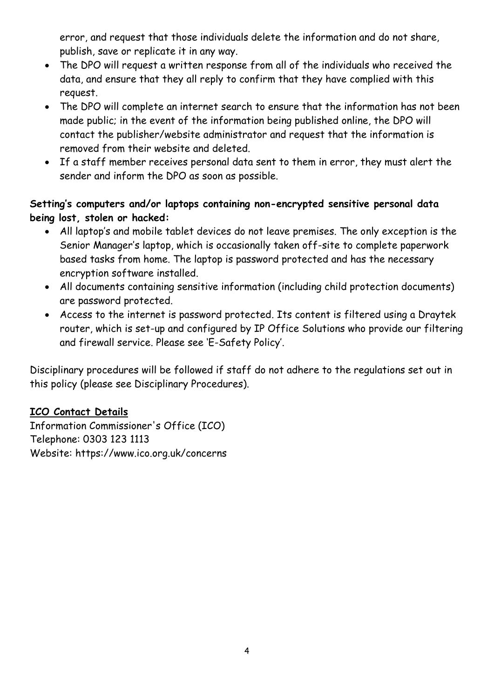error, and request that those individuals delete the information and do not share, publish, save or replicate it in any way.

- The DPO will request a written response from all of the individuals who received the data, and ensure that they all reply to confirm that they have complied with this request.
- The DPO will complete an internet search to ensure that the information has not been made public; in the event of the information being published online, the DPO will contact the publisher/website administrator and request that the information is removed from their website and deleted.
- If a staff member receives personal data sent to them in error, they must alert the sender and inform the DPO as soon as possible.

# **Setting's computers and/or laptops containing non-encrypted sensitive personal data being lost, stolen or hacked:**

- All laptop's and mobile tablet devices do not leave premises. The only exception is the Senior Manager's laptop, which is occasionally taken off-site to complete paperwork based tasks from home. The laptop is password protected and has the necessary encryption software installed.
- All documents containing sensitive information (including child protection documents) are password protected.
- Access to the internet is password protected. Its content is filtered using a Draytek router, which is set-up and configured by IP Office Solutions who provide our filtering and firewall service. Please see 'E-Safety Policy'.

Disciplinary procedures will be followed if staff do not adhere to the regulations set out in this policy (please see Disciplinary Procedures).

# **ICO Contact Details**

Information Commissioner's Office (ICO) Telephone: 0303 123 1113 Website: [https://www.ico.org.uk/concerns](https://www.ico.org.uk/concerns/)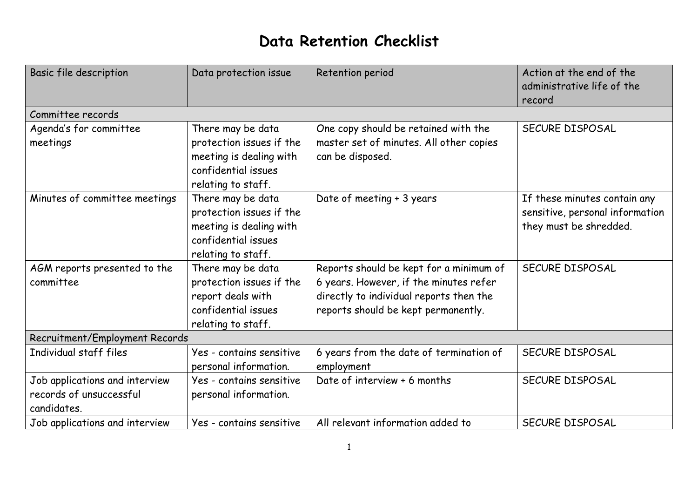# **Data Retention Checklist**

| Basic file description                                                   | Data protection issue                                                                                                 | Retention period                                                                                                                                                    | Action at the end of the<br>administrative life of the<br>record                          |
|--------------------------------------------------------------------------|-----------------------------------------------------------------------------------------------------------------------|---------------------------------------------------------------------------------------------------------------------------------------------------------------------|-------------------------------------------------------------------------------------------|
| Committee records                                                        |                                                                                                                       |                                                                                                                                                                     |                                                                                           |
| Agenda's for committee<br>meetings                                       | There may be data<br>protection issues if the<br>meeting is dealing with<br>confidential issues<br>relating to staff. | One copy should be retained with the<br>master set of minutes. All other copies<br>can be disposed.                                                                 | SECURE DISPOSAL                                                                           |
| Minutes of committee meetings                                            | There may be data<br>protection issues if the<br>meeting is dealing with<br>confidential issues<br>relating to staff. | Date of meeting + 3 years                                                                                                                                           | If these minutes contain any<br>sensitive, personal information<br>they must be shredded. |
| AGM reports presented to the<br>committee                                | There may be data<br>protection issues if the<br>report deals with<br>confidential issues<br>relating to staff.       | Reports should be kept for a minimum of<br>6 years. However, if the minutes refer<br>directly to individual reports then the<br>reports should be kept permanently. | SECURE DISPOSAL                                                                           |
| Recruitment/Employment Records                                           |                                                                                                                       |                                                                                                                                                                     |                                                                                           |
| Individual staff files                                                   | Yes - contains sensitive<br>personal information.                                                                     | 6 years from the date of termination of<br>employment                                                                                                               | SECURE DISPOSAL                                                                           |
| Job applications and interview<br>records of unsuccessful<br>candidates. | Yes - contains sensitive<br>personal information.                                                                     | Date of interview + 6 months                                                                                                                                        | SECURE DISPOSAL                                                                           |
| Job applications and interview                                           | Yes - contains sensitive                                                                                              | All relevant information added to                                                                                                                                   | SECURE DISPOSAL                                                                           |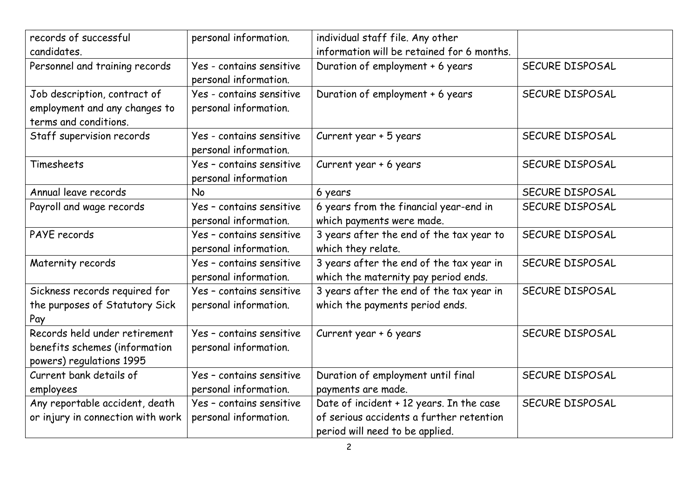| records of successful             | personal information.    | individual staff file. Any other           |                 |
|-----------------------------------|--------------------------|--------------------------------------------|-----------------|
| candidates.                       |                          | information will be retained for 6 months. |                 |
| Personnel and training records    | Yes - contains sensitive | Duration of employment + 6 years           | SECURE DISPOSAL |
|                                   | personal information.    |                                            |                 |
| Job description, contract of      | Yes - contains sensitive | Duration of employment + 6 years           | SECURE DISPOSAL |
| employment and any changes to     | personal information.    |                                            |                 |
| terms and conditions.             |                          |                                            |                 |
| Staff supervision records         | Yes - contains sensitive | Current year + 5 years                     | SECURE DISPOSAL |
|                                   | personal information.    |                                            |                 |
| Timesheets                        | Yes - contains sensitive | Current year + 6 years                     | SECURE DISPOSAL |
|                                   | personal information     |                                            |                 |
| Annual leave records              | <b>No</b>                | 6 years                                    | SECURE DISPOSAL |
| Payroll and wage records          | Yes - contains sensitive | 6 years from the financial year-end in     | SECURE DISPOSAL |
|                                   | personal information.    | which payments were made.                  |                 |
| PAYE records                      | Yes - contains sensitive | 3 years after the end of the tax year to   | SECURE DISPOSAL |
|                                   | personal information.    | which they relate.                         |                 |
| Maternity records                 | Yes - contains sensitive | 3 years after the end of the tax year in   | SECURE DISPOSAL |
|                                   | personal information.    | which the maternity pay period ends.       |                 |
| Sickness records required for     | Yes - contains sensitive | 3 years after the end of the tax year in   | SECURE DISPOSAL |
| the purposes of Statutory Sick    | personal information.    | which the payments period ends.            |                 |
| Pay                               |                          |                                            |                 |
| Records held under retirement     | Yes - contains sensitive | Current year + 6 years                     | SECURE DISPOSAL |
| benefits schemes (information     | personal information.    |                                            |                 |
| powers) regulations 1995          |                          |                                            |                 |
| Current bank details of           | Yes - contains sensitive | Duration of employment until final         | SECURE DISPOSAL |
| employees                         | personal information.    | payments are made.                         |                 |
| Any reportable accident, death    | Yes - contains sensitive | Date of incident + 12 years. In the case   | SECURE DISPOSAL |
| or injury in connection with work | personal information.    | of serious accidents a further retention   |                 |
|                                   |                          | period will need to be applied.            |                 |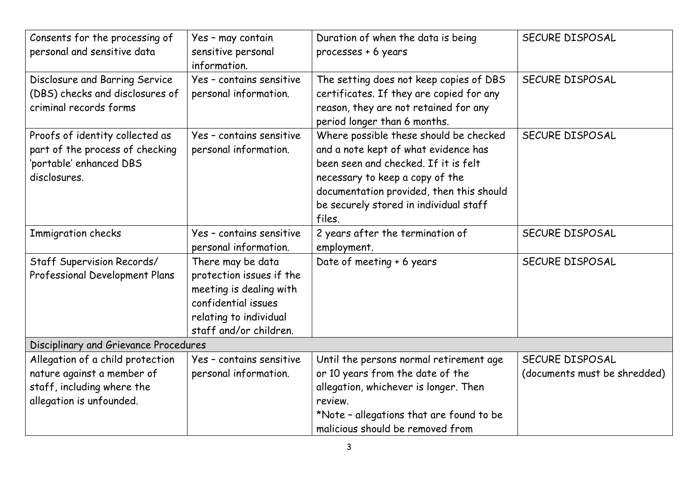| Consents for the processing of<br>personal and sensitive data                                                            | Yes - may contain<br>sensitive personal<br>information.                                                                                             | Duration of when the data is being<br>processes + 6 years                                                                                                                                                                                                 | SECURE DISPOSAL                                 |
|--------------------------------------------------------------------------------------------------------------------------|-----------------------------------------------------------------------------------------------------------------------------------------------------|-----------------------------------------------------------------------------------------------------------------------------------------------------------------------------------------------------------------------------------------------------------|-------------------------------------------------|
| Disclosure and Barring Service<br>(DBS) checks and disclosures of<br>criminal records forms                              | Yes - contains sensitive<br>personal information.                                                                                                   | The setting does not keep copies of DBS<br>certificates. If they are copied for any<br>reason, they are not retained for any<br>period longer than 6 months.                                                                                              | SECURE DISPOSAL                                 |
| Proofs of identity collected as<br>part of the process of checking<br>'portable' enhanced DBS<br>disclosures.            | Yes - contains sensitive<br>personal information.                                                                                                   | Where possible these should be checked<br>and a note kept of what evidence has<br>been seen and checked. If it is felt<br>necessary to keep a copy of the<br>documentation provided, then this should<br>be securely stored in individual staff<br>files. | SECURE DISPOSAL                                 |
| Immigration checks                                                                                                       | Yes - contains sensitive<br>personal information.                                                                                                   | 2 years after the termination of<br>employment.                                                                                                                                                                                                           | SECURE DISPOSAL                                 |
| Staff Supervision Records/<br>Professional Development Plans                                                             | There may be data<br>protection issues if the<br>meeting is dealing with<br>confidential issues<br>relating to individual<br>staff and/or children. | Date of meeting + 6 years                                                                                                                                                                                                                                 | SECURE DISPOSAL                                 |
| Disciplinary and Grievance Procedures                                                                                    |                                                                                                                                                     |                                                                                                                                                                                                                                                           |                                                 |
| Allegation of a child protection<br>nature against a member of<br>staff, including where the<br>allegation is unfounded. | Yes - contains sensitive<br>personal information.                                                                                                   | Until the persons normal retirement age<br>or 10 years from the date of the<br>allegation, whichever is longer. Then<br>review.<br>*Note - allegations that are found to be<br>malicious should be removed from                                           | SECURE DISPOSAL<br>(documents must be shredded) |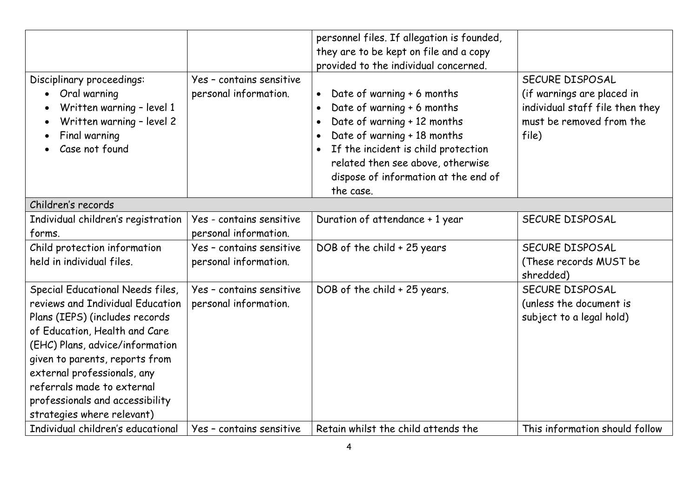| Disciplinary proceedings:<br>Oral warning<br>Written warning - level 1<br>Written warning - level 2<br>Final warning<br>Case not found                                                                                                                                                                                                     | Yes - contains sensitive<br>personal information. | personnel files. If allegation is founded,<br>they are to be kept on file and a copy<br>provided to the individual concerned.<br>Date of warning + 6 months<br>Date of warning + 6 months<br>$\bullet$<br>Date of warning + 12 months<br>Date of warning + 18 months<br>If the incident is child protection<br>$\bullet$<br>related then see above, otherwise<br>dispose of information at the end of<br>the case. | SECURE DISPOSAL<br>(if warnings are placed in<br>individual staff file then they<br>must be removed from the<br>file) |
|--------------------------------------------------------------------------------------------------------------------------------------------------------------------------------------------------------------------------------------------------------------------------------------------------------------------------------------------|---------------------------------------------------|--------------------------------------------------------------------------------------------------------------------------------------------------------------------------------------------------------------------------------------------------------------------------------------------------------------------------------------------------------------------------------------------------------------------|-----------------------------------------------------------------------------------------------------------------------|
| Children's records                                                                                                                                                                                                                                                                                                                         |                                                   |                                                                                                                                                                                                                                                                                                                                                                                                                    |                                                                                                                       |
| Individual children's registration<br>forms.                                                                                                                                                                                                                                                                                               | Yes - contains sensitive<br>personal information. | Duration of attendance + 1 year                                                                                                                                                                                                                                                                                                                                                                                    | SECURE DISPOSAL                                                                                                       |
| Child protection information<br>held in individual files.                                                                                                                                                                                                                                                                                  | Yes - contains sensitive<br>personal information. | DOB of the child + 25 years                                                                                                                                                                                                                                                                                                                                                                                        | SECURE DISPOSAL<br>(These records MUST be<br>shredded)                                                                |
| Special Educational Needs files,<br>reviews and Individual Education<br>Plans (IEPS) (includes records<br>of Education, Health and Care<br>(EHC) Plans, advice/information<br>given to parents, reports from<br>external professionals, any<br>referrals made to external<br>professionals and accessibility<br>strategies where relevant) | Yes - contains sensitive<br>personal information. | DOB of the child + 25 years.                                                                                                                                                                                                                                                                                                                                                                                       | SECURE DISPOSAL<br>(unless the document is<br>subject to a legal hold)                                                |
| Individual children's educational                                                                                                                                                                                                                                                                                                          | Yes - contains sensitive                          | Retain whilst the child attends the                                                                                                                                                                                                                                                                                                                                                                                | This information should follow                                                                                        |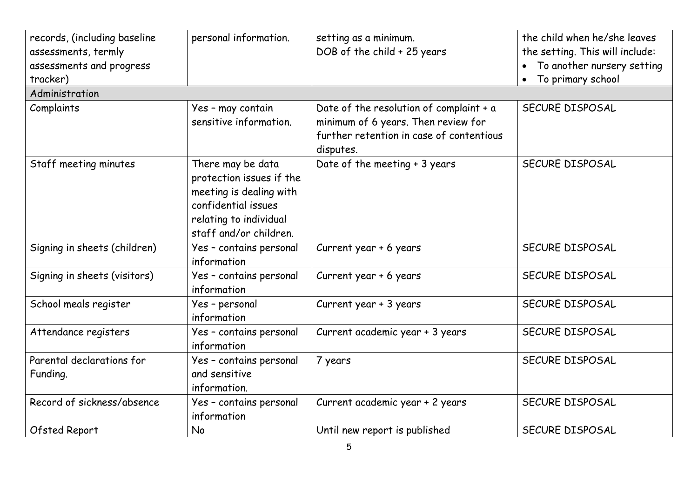| records, (including baseline<br>assessments, termly | personal information.                                                                                                                               | setting as a minimum.<br>DOB of the child + 25 years                                                                                    | the child when he/she leaves<br>the setting. This will include: |
|-----------------------------------------------------|-----------------------------------------------------------------------------------------------------------------------------------------------------|-----------------------------------------------------------------------------------------------------------------------------------------|-----------------------------------------------------------------|
| assessments and progress<br>tracker)                |                                                                                                                                                     |                                                                                                                                         | To another nursery setting<br>To primary school<br>$\bullet$    |
| Administration                                      |                                                                                                                                                     |                                                                                                                                         |                                                                 |
| Complaints                                          | Yes - may contain<br>sensitive information.                                                                                                         | Date of the resolution of complaint + a<br>minimum of 6 years. Then review for<br>further retention in case of contentious<br>disputes. | <b>SECURE DISPOSAL</b>                                          |
| Staff meeting minutes                               | There may be data<br>protection issues if the<br>meeting is dealing with<br>confidential issues<br>relating to individual<br>staff and/or children. | Date of the meeting + 3 years                                                                                                           | SECURE DISPOSAL                                                 |
| Signing in sheets (children)                        | Yes - contains personal<br>information                                                                                                              | Current year + 6 years                                                                                                                  | SECURE DISPOSAL                                                 |
| Signing in sheets (visitors)                        | Yes - contains personal<br>information                                                                                                              | Current year + 6 years                                                                                                                  | SECURE DISPOSAL                                                 |
| School meals register                               | Yes - personal<br>information                                                                                                                       | Current year + 3 years                                                                                                                  | SECURE DISPOSAL                                                 |
| Attendance registers                                | Yes - contains personal<br>information                                                                                                              | Current academic year + 3 years                                                                                                         | SECURE DISPOSAL                                                 |
| Parental declarations for<br>Funding.               | Yes - contains personal<br>and sensitive<br>information.                                                                                            | 7 years                                                                                                                                 | SECURE DISPOSAL                                                 |
| Record of sickness/absence                          | Yes - contains personal<br>information                                                                                                              | Current academic year + 2 years                                                                                                         | SECURE DISPOSAL                                                 |
| Ofsted Report                                       | <b>No</b>                                                                                                                                           | Until new report is published                                                                                                           | SECURE DISPOSAL                                                 |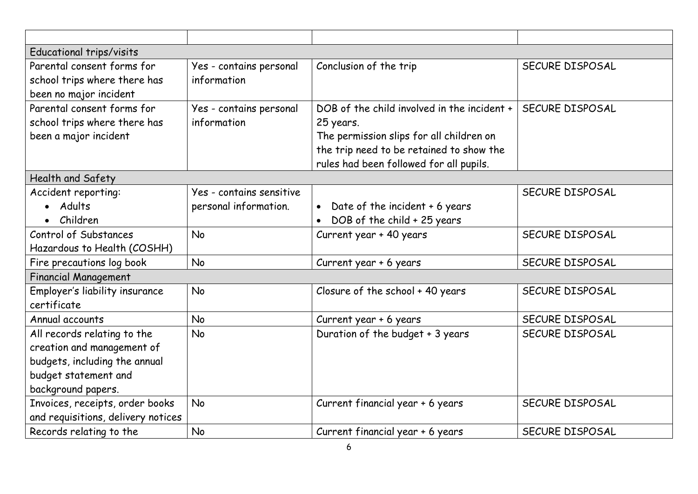| Educational trips/visits                                                                                                                 |                                                   |                                                                                                                                                                                             |                 |
|------------------------------------------------------------------------------------------------------------------------------------------|---------------------------------------------------|---------------------------------------------------------------------------------------------------------------------------------------------------------------------------------------------|-----------------|
| Parental consent forms for<br>school trips where there has<br>been no major incident                                                     | Yes - contains personal<br>information            | Conclusion of the trip                                                                                                                                                                      | SECURE DISPOSAL |
| Parental consent forms for<br>school trips where there has<br>been a major incident                                                      | Yes - contains personal<br>information            | DOB of the child involved in the incident +<br>25 years.<br>The permission slips for all children on<br>the trip need to be retained to show the<br>rules had been followed for all pupils. | SECURE DISPOSAL |
| Health and Safety                                                                                                                        |                                                   |                                                                                                                                                                                             |                 |
| Accident reporting:<br>• Adults<br>• Children                                                                                            | Yes - contains sensitive<br>personal information. | Date of the incident + 6 years<br>$\bullet$<br>DOB of the child + 25 years                                                                                                                  | SECURE DISPOSAL |
| Control of Substances<br>Hazardous to Health (COSHH)                                                                                     | No                                                | Current year + 40 years                                                                                                                                                                     | SECURE DISPOSAL |
| Fire precautions log book                                                                                                                | <b>No</b>                                         | Current year + 6 years                                                                                                                                                                      | SECURE DISPOSAL |
| <b>Financial Management</b>                                                                                                              |                                                   |                                                                                                                                                                                             |                 |
| Employer's liability insurance<br>certificate                                                                                            | No                                                | Closure of the school + 40 years                                                                                                                                                            | SECURE DISPOSAL |
| Annual accounts                                                                                                                          | No                                                | Current year + 6 years                                                                                                                                                                      | SECURE DISPOSAL |
| All records relating to the<br>creation and management of<br>budgets, including the annual<br>budget statement and<br>background papers. | No                                                | Duration of the budget + 3 years                                                                                                                                                            | SECURE DISPOSAL |
| Invoices, receipts, order books<br>and requisitions, delivery notices                                                                    | No                                                | Current financial year + 6 years                                                                                                                                                            | SECURE DISPOSAL |
| Records relating to the                                                                                                                  | <b>No</b>                                         | Current financial year + 6 years                                                                                                                                                            | SECURE DISPOSAL |